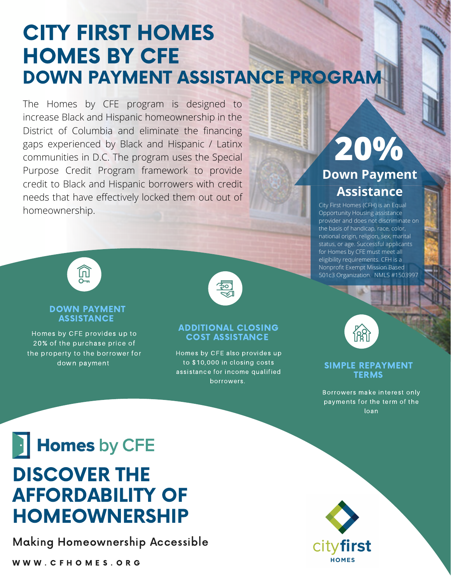## CITY FIRST HOMES HOMES BY CFE DOWN PAYMENT ASSISTANCE PROGRAM

The Homes by CFE program is designed to increase Black and Hispanic homeownership in the District of Columbia and eliminate the financing gaps experienced by Black and Hispanic / Latinx communities in D.C. The program uses the Special Purpose Credit Program framework to provide credit to Black and Hispanic borrowers with credit needs that have effectively locked them out out of homeownership.

### **20% Down Payment Assistance**

City First Homes (CFH) is an Equal Opportunity Housing assistance provider and does not discriminate on the basis of handicap, race, color, national origin, religion, sex, marital status, or age. Successful applicants for Homes by CFE must meet all eligibility requirements. CFH is a Nonprofit Exempt Mission Based 501c3 Organization. NMLS #1503997



#### DOWN PAYMENT **ASSISTANCE**

Homes by CFE provides up to 20% of the purchase price of the property to the borrower for down payment



#### ADDITIONAL CLOSING COST ASSISTANCE

Homes by CFE also provides up to \$10,000 in closing costs assistance for income qualified borrowers.

#### SIMPLE REPAYMENT **TERMS**

Borrowers make interest only payments for the term of the loan

# **Homes** by CFE DISCOVER THE AFFORDABILITY OF HOMEOWNERSHIP

Making Homeownership Accessible

W W W . C F H O M E S . O R G

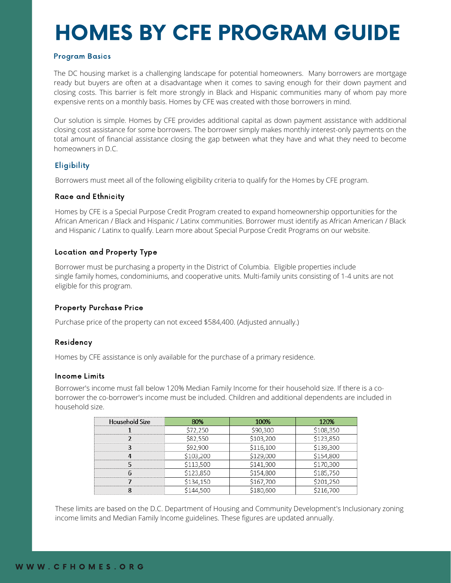# HOMES BY CFE PROGRAM GUIDE

#### Program Basics

The DC housing market is a challenging landscape for potential homeowners. Many borrowers are mortgage ready but buyers are often at a disadvantage when it comes to saving enough for their down payment and closing costs. This barrier is felt more strongly in Black and Hispanic communities many of whom pay more expensive rents on a monthly basis. Homes by CFE was created with those borrowers in mind.

Our solution is simple. Homes by CFE provides additional capital as down payment assistance with additional closing cost assistance for some borrowers. The borrower simply makes monthly interest-only payments on the total amount of financial assistance closing the gap between what they have and what they need to become homeowners in D.C.

### **Eligibility**

Borrowers must meet all of the following eligibility criteria to qualify for the Homes by CFE program.

#### Race and Ethnicity

Homes by CFE is a Special Purpose Credit Program created to expand homeownership opportunities for the African American / Black and Hispanic / Latinx communities. Borrower must identify as African American / Black and Hispanic / Latinx to qualify. Learn more about Special Purpose Credit Programs on our website.

#### Location and Property Type

Borrower must be purchasing a property in the District of Columbia. Eligible properties include single family homes, condominiums, and cooperative units. Multi-family units consisting of 1-4 units are not eligible for this program.

#### Property Purchase Price

Purchase price of the property can not exceed \$584,400. (Adjusted annually.)

#### Residency

Homes by CFE assistance is only available for the purchase of a primary residence.

#### Income Limits

Borrower's income must fall below 120% Median Family Income for their household size. If there is a coborrower the co-borrower's income must be included. Children and additional dependents are included in household size.

| Household Size | 80%       | 100%      | 120%      |
|----------------|-----------|-----------|-----------|
|                | 72,250    | \$90,300  | \$108,350 |
|                | \$82,550  | \$103,200 | \$123,850 |
|                | \$92,900  | \$116,100 | \$139,300 |
|                | \$103,200 | \$129,000 | \$154,800 |
|                | \$113,500 | \$141,900 | \$170,300 |
|                | \$123,850 | \$154,800 | \$185,750 |
|                | \$134,150 | \$167,700 |           |
|                |           |           |           |

These limits are based on the D.C. Department of Housing and Community Development's Inclusionary zoning income limits and Median Family Income guidelines. These figures are updated annually.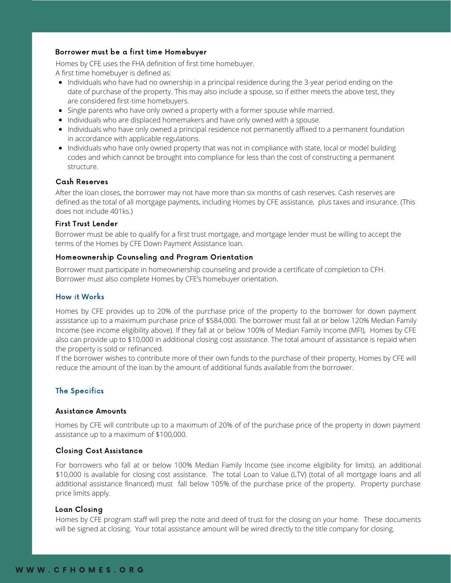#### Borrower must be a first time Homebuyer

Homes by CFE uses the FHA definition of first time homebuyer. A first time homebuyer is defined as:

- Individuals who have had no ownership in a principal residence during the 3-year period ending on the date of purchase of the property. This may also include a spouse, so if either meets the above test, they are considered first-time homebuyers.
- Single parents who have only owned a property with a former spouse while married.
- Individuals who are displaced homemakers and have only owned with a spouse.
- Individuals who have only owned a principal residence not permanently affixed to a permanent foundation in accordance with applicable regulations.
- Individuals who have only owned property that was not in compliance with state, local or model building codes and which cannot be brought into compliance for less than the cost of constructing a permanent structure.

#### Cash Reserves

After the loan closes, the borrower may not have more than six months of cash reserves. Cash reserves are defined as the total of all mortgage payments, including Homes by CFE assistance, plus taxes and insurance. (This does not include 401ks.)

#### First Trust Lender

Borrower must be able to qualify for a first trust mortgage, and mortgage lender must be willing to accept the terms of the Homes by CFE Down Payment Assistance loan.

#### Homeownership Counseling and Program Orientation

Borrower must participate in homeownership counseling and provide a certificate of completion to CFH. Borrower must also complete Homes by CFE's homebuyer orientation.

#### How it Works

Homes by CFE provides up to 20% of the purchase price of the property to the borrower for down payment assistance up to a maximum purchase price of \$584,000. The borrower must fall at or below 120% Median Family Income (see income eligibility above). If they fall at or below 100% of Median Family Income (MFI), Homes by CFE also can provide up to \$10,000 in additional closing cost assistance. The total amount of assistance is repaid when the property is sold or refinanced.

If the borrower wishes to contribute more of their own funds to the purchase of their property, Homes by CFE will reduce the amount of the loan by the amount of additional funds available from the borrower.

#### The Specifics

#### Assistance Amounts

Homes by CFE will contribute up to a maximum of 20% of of the purchase price of the property in down payment assistance up to a maximum of \$100,000.

#### Closing Cost Assistance

For borrowers who fall at or below 100% Median Family Income (see income eligibility for limits). an additional \$10,000 is available for closing cost assistance. The total Loan to Value (LTV) (total of all mortgage loans and all additional assistance financed) must fall below 105% of the purchase price of the property. Property purchase price limits apply.

#### Loan Closing

Homes by CFE program staff will prep the note and deed of trust for the closing on your home. These documents will be signed at closing. Your total assistance amount will be wired directly to the title company for closing.